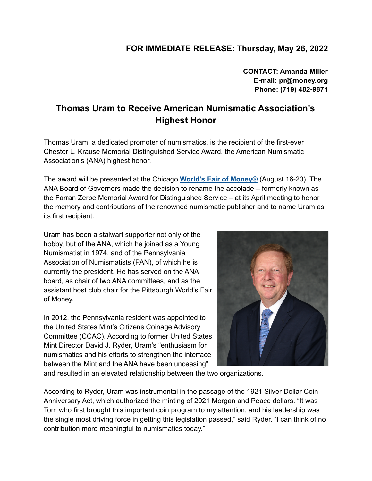## **FOR IMMEDIATE RELEASE: Thursday, May 26, 2022**

**CONTACT: Amanda Miller E-mail: pr@money.org Phone: (719) 482-9871**

## **Thomas Uram to Receive American Numismatic Association's Highest Honor**

Thomas Uram, a dedicated promoter of numismatics, is the recipient of the first-ever Chester L. Krause Memorial Distinguished Service Award, the American Numismatic Association's (ANA) highest honor.

The award will be presented at the Chicago **World's Fair of [Money®](https://www.money.org/worldsfairofmoney?utm_source=hs_email&utm_medium=email&_hsenc=p2ANqtz-_t7twLuxdQp6DCFRAdg6ARCjpSZvChz5pM5wxi6hu6o8tVtUgMhdxAYGWGGPPdpoqo0dgA)** (August 16-20). The ANA Board of Governors made the decision to rename the accolade – formerly known as the Farran Zerbe Memorial Award for Distinguished Service – at its April meeting to honor the memory and contributions of the renowned numismatic publisher and to name Uram as its first recipient.

Uram has been a stalwart supporter not only of the hobby, but of the ANA, which he joined as a Young Numismatist in 1974, and of the Pennsylvania Association of Numismatists (PAN), of which he is currently the president. He has served on the ANA board, as chair of two ANA committees, and as the assistant host club chair for the Pittsburgh World's Fair of Money.

In 2012, the Pennsylvania resident was appointed to the United States Mint's Citizens Coinage Advisory Committee (CCAC). According to former United States Mint Director David J. Ryder, Uram's "enthusiasm for numismatics and his efforts to strengthen the interface between the Mint and the ANA have been unceasing"



and resulted in an elevated relationship between the two organizations.

According to Ryder, Uram was instrumental in the passage of the 1921 Silver Dollar Coin Anniversary Act, which authorized the minting of 2021 Morgan and Peace dollars. "It was Tom who first brought this important coin program to my attention, and his leadership was the single most driving force in getting this legislation passed," said Ryder. "I can think of no contribution more meaningful to numismatics today."